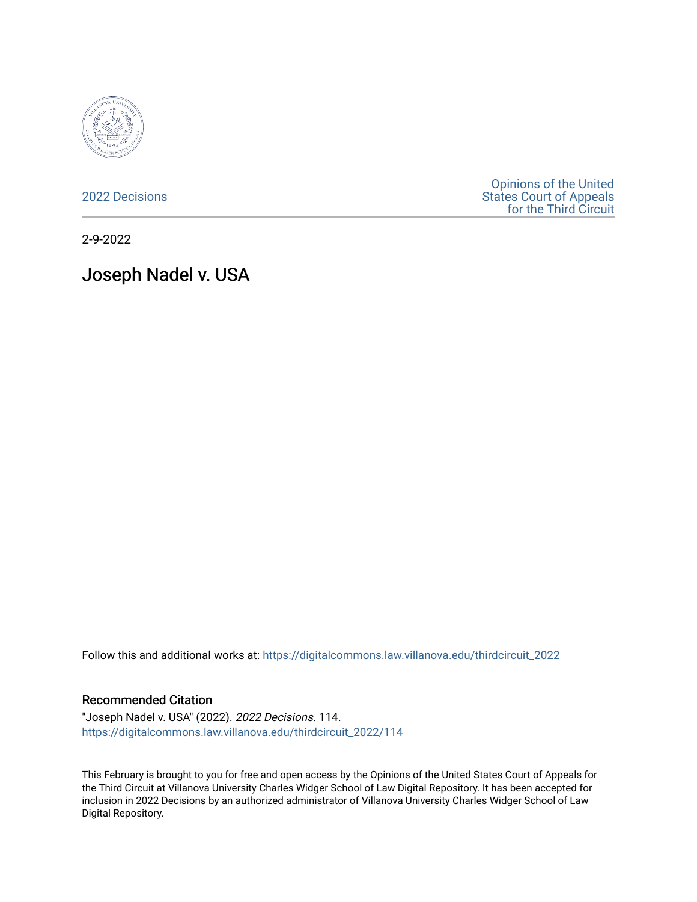

[2022 Decisions](https://digitalcommons.law.villanova.edu/thirdcircuit_2022)

[Opinions of the United](https://digitalcommons.law.villanova.edu/thirdcircuit)  [States Court of Appeals](https://digitalcommons.law.villanova.edu/thirdcircuit)  [for the Third Circuit](https://digitalcommons.law.villanova.edu/thirdcircuit) 

2-9-2022

# Joseph Nadel v. USA

Follow this and additional works at: [https://digitalcommons.law.villanova.edu/thirdcircuit\\_2022](https://digitalcommons.law.villanova.edu/thirdcircuit_2022?utm_source=digitalcommons.law.villanova.edu%2Fthirdcircuit_2022%2F114&utm_medium=PDF&utm_campaign=PDFCoverPages) 

#### Recommended Citation

"Joseph Nadel v. USA" (2022). 2022 Decisions. 114. [https://digitalcommons.law.villanova.edu/thirdcircuit\\_2022/114](https://digitalcommons.law.villanova.edu/thirdcircuit_2022/114?utm_source=digitalcommons.law.villanova.edu%2Fthirdcircuit_2022%2F114&utm_medium=PDF&utm_campaign=PDFCoverPages)

This February is brought to you for free and open access by the Opinions of the United States Court of Appeals for the Third Circuit at Villanova University Charles Widger School of Law Digital Repository. It has been accepted for inclusion in 2022 Decisions by an authorized administrator of Villanova University Charles Widger School of Law Digital Repository.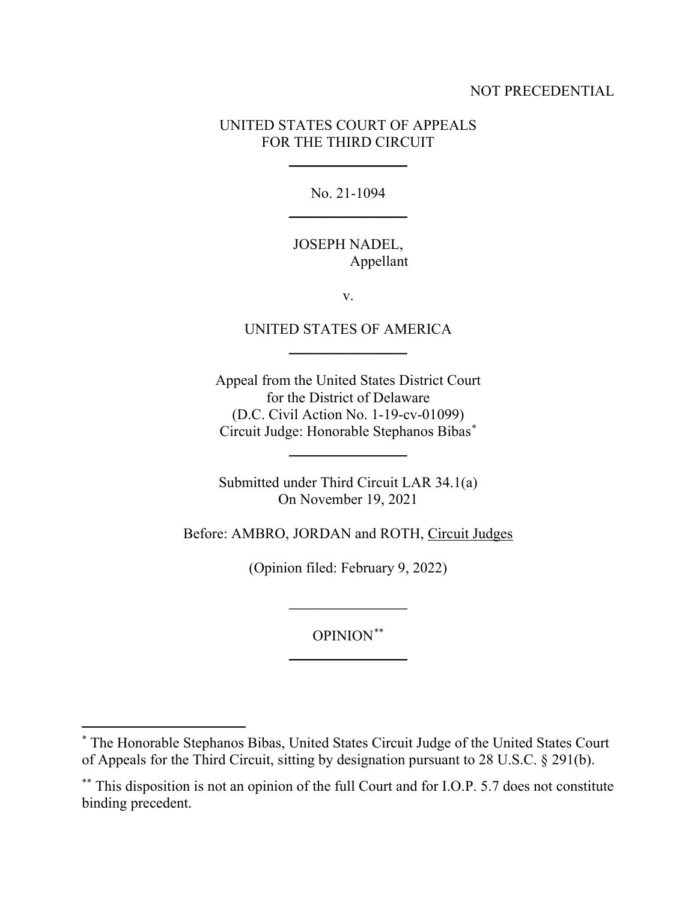### NOT PRECEDENTIAL

## UNITED STATES COURT OF APPEALS FOR THE THIRD CIRCUIT

 $\frac{1}{2}$ 

No. 21-1094  $\overline{\phantom{a}}$  , where  $\overline{\phantom{a}}$ 

## JOSEPH NADEL, Appellant

v.

## UNITED STATES OF AMERICA \_\_\_\_\_\_\_\_\_\_\_\_\_\_\_\_

Appeal from the United States District Court for the District of Delaware (D.C. Civil Action No. 1-19-cv-01099) Circuit Judge: Honorable Stephanos Biba[s\\*](#page-1-0)

Submitted under Third Circuit LAR 34.1(a) On November 19, 2021

 $\overline{\phantom{a}}$  , where  $\overline{\phantom{a}}$ 

Before: AMBRO, JORDAN and ROTH, Circuit Judges

(Opinion filed: February 9, 2022)

\_\_\_\_\_\_\_\_\_\_\_\_\_\_\_\_

OPINION[\\*\\*](#page-1-1)  $\overline{\phantom{a}}$  , where  $\overline{\phantom{a}}$ 

<span id="page-1-0"></span><sup>\*</sup> The Honorable Stephanos Bibas, United States Circuit Judge of the United States Court of Appeals for the Third Circuit, sitting by designation pursuant to 28 U.S.C. § 291(b).

<span id="page-1-1"></span><sup>\*\*</sup> This disposition is not an opinion of the full Court and for I.O.P. 5.7 does not constitute binding precedent.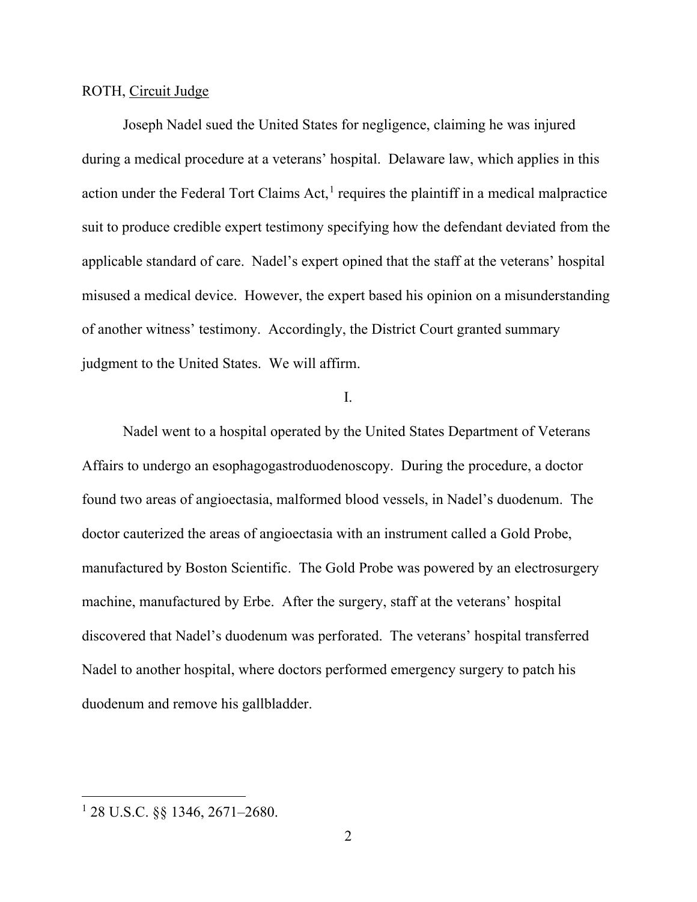#### ROTH, Circuit Judge

Joseph Nadel sued the United States for negligence, claiming he was injured during a medical procedure at a veterans' hospital. Delaware law, which applies in this action under the Federal Tort Claims Act,<sup>[1](#page-2-0)</sup> requires the plaintiff in a medical malpractice suit to produce credible expert testimony specifying how the defendant deviated from the applicable standard of care. Nadel's expert opined that the staff at the veterans' hospital misused a medical device. However, the expert based his opinion on a misunderstanding of another witness' testimony. Accordingly, the District Court granted summary judgment to the United States. We will affirm.

I.

Nadel went to a hospital operated by the United States Department of Veterans Affairs to undergo an esophagogastroduodenoscopy. During the procedure, a doctor found two areas of angioectasia, malformed blood vessels, in Nadel's duodenum. The doctor cauterized the areas of angioectasia with an instrument called a Gold Probe, manufactured by Boston Scientific. The Gold Probe was powered by an electrosurgery machine, manufactured by Erbe. After the surgery, staff at the veterans' hospital discovered that Nadel's duodenum was perforated. The veterans' hospital transferred Nadel to another hospital, where doctors performed emergency surgery to patch his duodenum and remove his gallbladder.

<span id="page-2-0"></span><sup>1</sup> 28 U.S.C. §§ 1346, 2671–2680.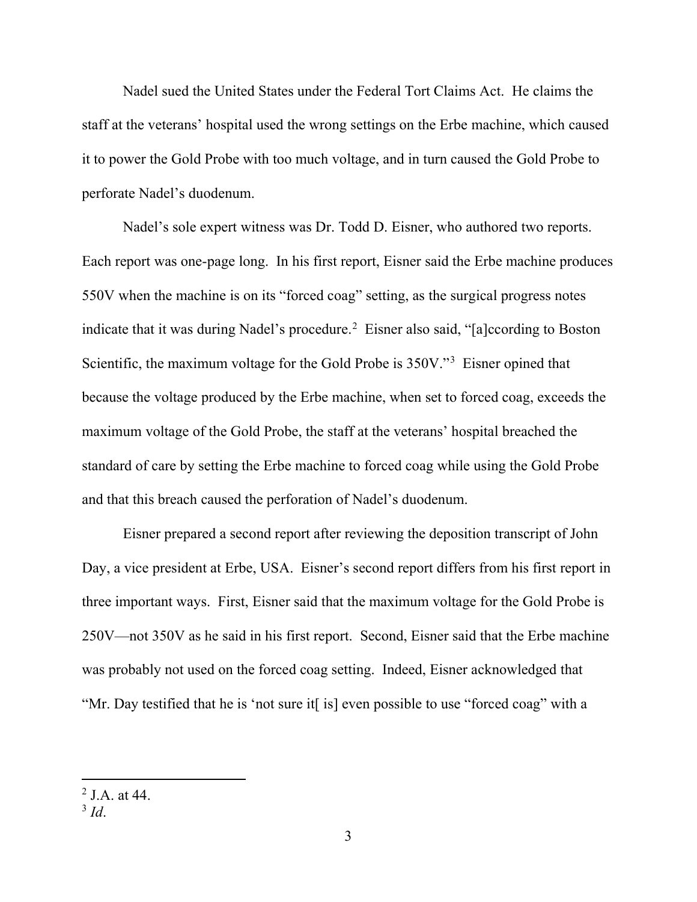Nadel sued the United States under the Federal Tort Claims Act. He claims the staff at the veterans' hospital used the wrong settings on the Erbe machine, which caused it to power the Gold Probe with too much voltage, and in turn caused the Gold Probe to perforate Nadel's duodenum.

Nadel's sole expert witness was Dr. Todd D. Eisner, who authored two reports. Each report was one-page long. In his first report, Eisner said the Erbe machine produces 550V when the machine is on its "forced coag" setting, as the surgical progress notes indicate that it was during Nadel's procedure.<sup>[2](#page-3-0)</sup> Eisner also said, "[a]ccording to Boston Scientific, the maximum voltage for the Gold Probe is 350V."[3](#page-3-1) Eisner opined that because the voltage produced by the Erbe machine, when set to forced coag, exceeds the maximum voltage of the Gold Probe, the staff at the veterans' hospital breached the standard of care by setting the Erbe machine to forced coag while using the Gold Probe and that this breach caused the perforation of Nadel's duodenum.

Eisner prepared a second report after reviewing the deposition transcript of John Day, a vice president at Erbe, USA. Eisner's second report differs from his first report in three important ways. First, Eisner said that the maximum voltage for the Gold Probe is 250V—not 350V as he said in his first report. Second, Eisner said that the Erbe machine was probably not used on the forced coag setting. Indeed, Eisner acknowledged that "Mr. Day testified that he is 'not sure it[ is] even possible to use "forced coag" with a

<span id="page-3-0"></span><sup>&</sup>lt;sup>2</sup> J A at  $44$ .

<span id="page-3-1"></span><sup>3</sup> *Id*.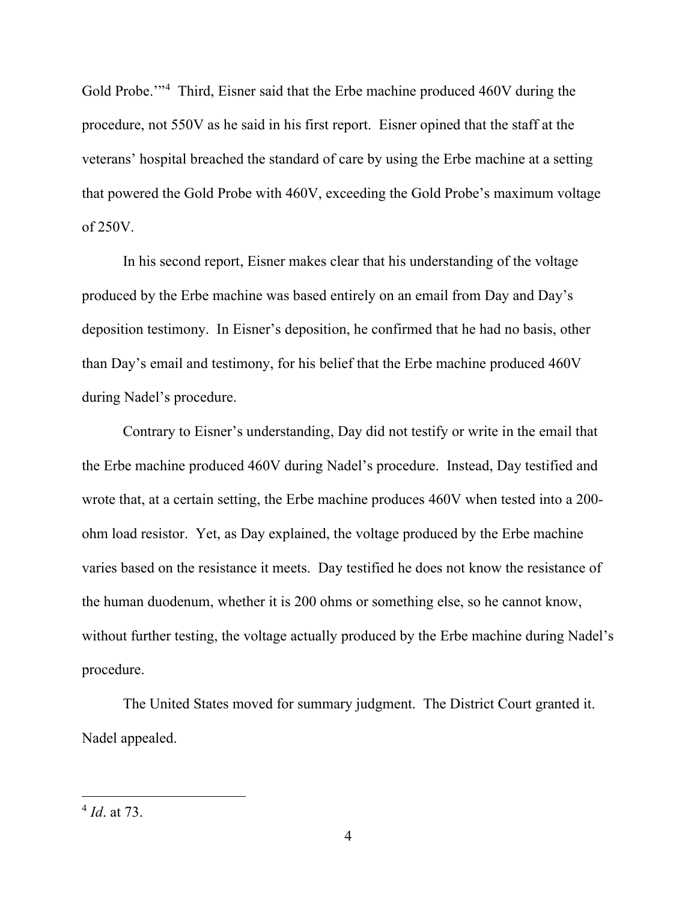Gold Probe."<sup>[4](#page-4-0)</sup> Third, Eisner said that the Erbe machine produced 460V during the procedure, not 550V as he said in his first report. Eisner opined that the staff at the veterans' hospital breached the standard of care by using the Erbe machine at a setting that powered the Gold Probe with 460V, exceeding the Gold Probe's maximum voltage of 250V.

In his second report, Eisner makes clear that his understanding of the voltage produced by the Erbe machine was based entirely on an email from Day and Day's deposition testimony. In Eisner's deposition, he confirmed that he had no basis, other than Day's email and testimony, for his belief that the Erbe machine produced 460V during Nadel's procedure.

Contrary to Eisner's understanding, Day did not testify or write in the email that the Erbe machine produced 460V during Nadel's procedure. Instead, Day testified and wrote that, at a certain setting, the Erbe machine produces 460V when tested into a 200 ohm load resistor. Yet, as Day explained, the voltage produced by the Erbe machine varies based on the resistance it meets. Day testified he does not know the resistance of the human duodenum, whether it is 200 ohms or something else, so he cannot know, without further testing, the voltage actually produced by the Erbe machine during Nadel's procedure.

The United States moved for summary judgment. The District Court granted it. Nadel appealed.

<span id="page-4-0"></span><sup>4</sup> *Id*. at 73.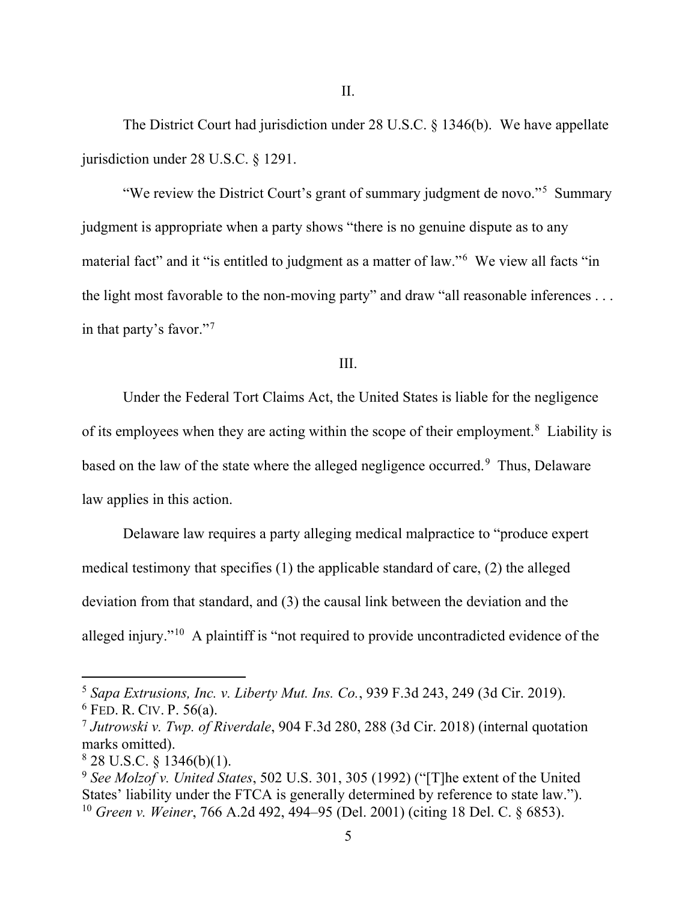The District Court had jurisdiction under 28 U.S.C. § 1346(b). We have appellate jurisdiction under 28 U.S.C. § 1291.

"We review the District Court's grant of summary judgment de novo."<sup>[5](#page-5-0)</sup> Summary judgment is appropriate when a party shows "there is no genuine dispute as to any material fact" and it "is entitled to judgment as a matter of law."[6](#page-5-1) We view all facts "in the light most favorable to the non-moving party" and draw "all reasonable inferences . . . in that party's favor."[7](#page-5-2)

III.

Under the Federal Tort Claims Act, the United States is liable for the negligence of its employees when they are acting within the scope of their employment.<sup>[8](#page-5-3)</sup> Liability is based on the law of the state where the alleged negligence occurred.<sup>[9](#page-5-4)</sup> Thus, Delaware law applies in this action.

Delaware law requires a party alleging medical malpractice to "produce expert medical testimony that specifies (1) the applicable standard of care, (2) the alleged deviation from that standard, and (3) the causal link between the deviation and the alleged injury."[10](#page-5-5) A plaintiff is "not required to provide uncontradicted evidence of the

<span id="page-5-1"></span><span id="page-5-0"></span><sup>5</sup> *Sapa Extrusions, Inc. v. Liberty Mut. Ins. Co.*, 939 F.3d 243, 249 (3d Cir. 2019).  $6$  FED. R. CIV. P. 56(a).

<span id="page-5-2"></span><sup>7</sup> *Jutrowski v. Twp. of Riverdale*, 904 F.3d 280, 288 (3d Cir. 2018) (internal quotation marks omitted).

<span id="page-5-3"></span> $8$  28 U.S.C. § 1346(b)(1).

<span id="page-5-5"></span><span id="page-5-4"></span><sup>9</sup> *See Molzof v. United States*, 502 U.S. 301, 305 (1992) ("[T]he extent of the United States' liability under the FTCA is generally determined by reference to state law."). <sup>10</sup> *Green v. Weiner*, 766 A.2d 492, 494–95 (Del. 2001) (citing 18 Del. C. § 6853).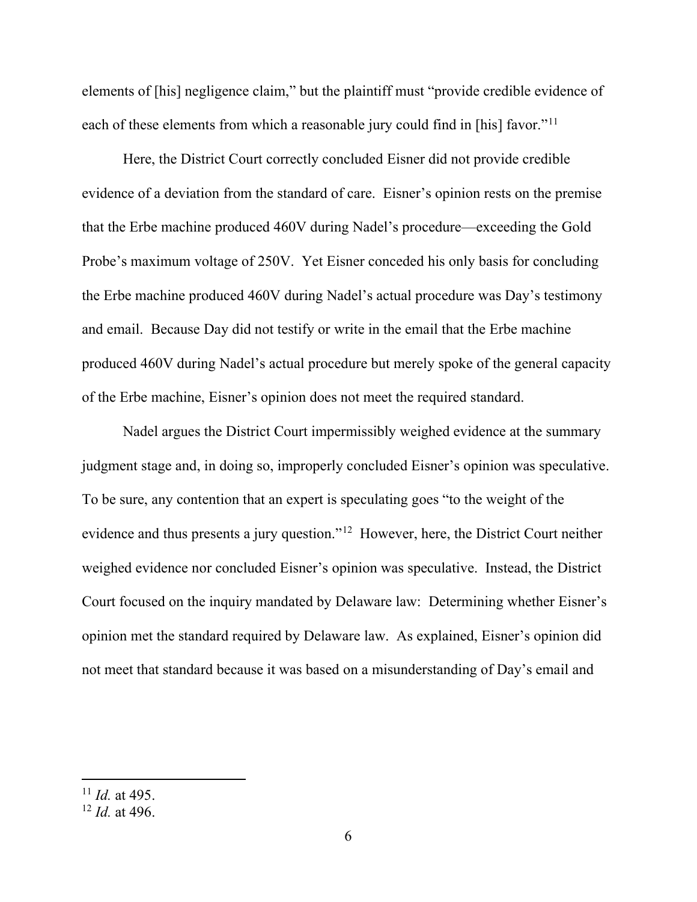elements of [his] negligence claim," but the plaintiff must "provide credible evidence of each of these elements from which a reasonable jury could find in [his] favor."<sup>[11](#page-6-0)</sup>

Here, the District Court correctly concluded Eisner did not provide credible evidence of a deviation from the standard of care. Eisner's opinion rests on the premise that the Erbe machine produced 460V during Nadel's procedure—exceeding the Gold Probe's maximum voltage of 250V. Yet Eisner conceded his only basis for concluding the Erbe machine produced 460V during Nadel's actual procedure was Day's testimony and email. Because Day did not testify or write in the email that the Erbe machine produced 460V during Nadel's actual procedure but merely spoke of the general capacity of the Erbe machine, Eisner's opinion does not meet the required standard.

Nadel argues the District Court impermissibly weighed evidence at the summary judgment stage and, in doing so, improperly concluded Eisner's opinion was speculative. To be sure, any contention that an expert is speculating goes "to the weight of the evidence and thus presents a jury question."[12](#page-6-1) However, here, the District Court neither weighed evidence nor concluded Eisner's opinion was speculative. Instead, the District Court focused on the inquiry mandated by Delaware law: Determining whether Eisner's opinion met the standard required by Delaware law. As explained, Eisner's opinion did not meet that standard because it was based on a misunderstanding of Day's email and

<span id="page-6-0"></span><sup>11</sup> *Id.* at 495.

<span id="page-6-1"></span><sup>12</sup> *Id.* at 496.